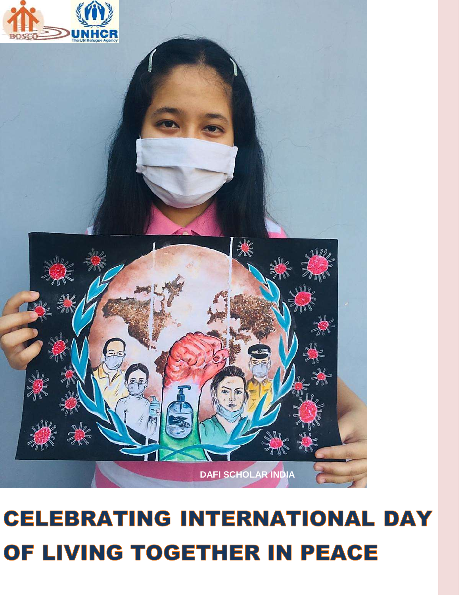# 纂 **DAFI SCHOLAR INDIA**

# **CELEBRATING INTERNATIONAL DAY** OF LIVING TOGETHER IN PEACE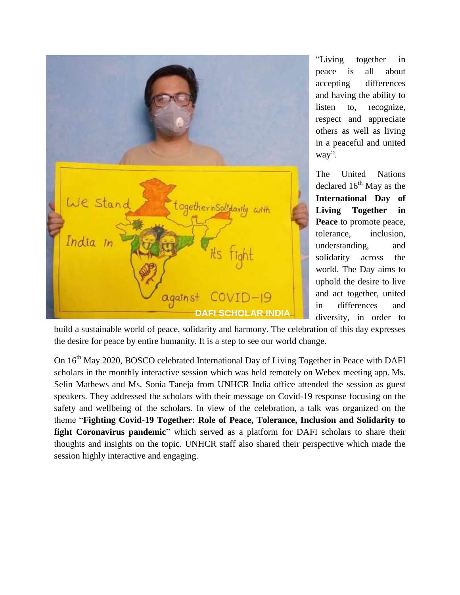

"Living together in peace is all about accepting differences and having the ability to listen to, recognize, respect and appreciate others as well as living in a peaceful and united way".

The United Nations declared  $16<sup>th</sup>$  May as the **International Day of Living Together in Peace** to promote peace, tolerance, inclusion, understanding, and solidarity across the world. The Day aims to uphold the desire to live and act together, united in differences and diversity, in order to

build a sustainable world of peace, solidarity and harmony. The celebration of this day expresses the desire for peace by entire humanity. It is a step to see our world change.

On 16<sup>th</sup> May 2020, BOSCO celebrated International Day of Living Together in Peace with DAFI scholars in the monthly interactive session which was held remotely on Webex meeting app. Ms. Selin Mathews and Ms. Sonia Taneja from UNHCR India office attended the session as guest speakers. They addressed the scholars with their message on Covid-19 response focusing on the safety and wellbeing of the scholars. In view of the celebration, a talk was organized on the theme "**Fighting Covid-19 Together: Role of Peace, Tolerance, Inclusion and Solidarity to fight Coronavirus pandemic**" which served as a platform for DAFI scholars to share their thoughts and insights on the topic. UNHCR staff also shared their perspective which made the session highly interactive and engaging.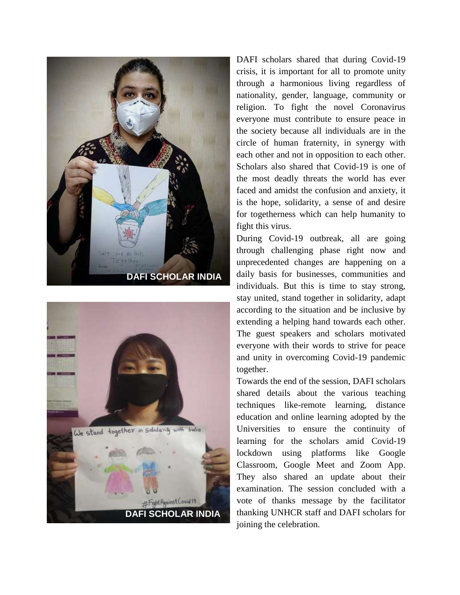



DAFI scholars shared that during Covid-19 crisis, it is important for all to promote unity through a harmonious living regardless of nationality, gender, language, community or religion. To fight the novel Coronavirus everyone must contribute to ensure peace in the society because all individuals are in the circle of human fraternity, in synergy with each other and not in opposition to each other. Scholars also shared that Covid-19 is one of the most deadly threats the world has ever faced and amidst the confusion and anxiety, it is the hope, solidarity, a sense of and desire for togetherness which can help humanity to fight this virus.

During Covid-19 outbreak, all are going through challenging phase right now and unprecedented changes are happening on a daily basis for businesses, communities and individuals. But this is time to stay strong, stay united, stand together in solidarity, adapt according to the situation and be inclusive by extending a helping hand towards each other. The guest speakers and scholars motivated everyone with their words to strive for peace and unity in overcoming Covid-19 pandemic together.

Towards the end of the session, DAFI scholars shared details about the various teaching techniques like-remote learning, distance education and online learning adopted by the Universities to ensure the continuity of learning for the scholars amid Covid-19 lockdown using platforms like Google Classroom, Google Meet and Zoom App. They also shared an update about their examination. The session concluded with a vote of thanks message by the facilitator thanking UNHCR staff and DAFI scholars for joining the celebration.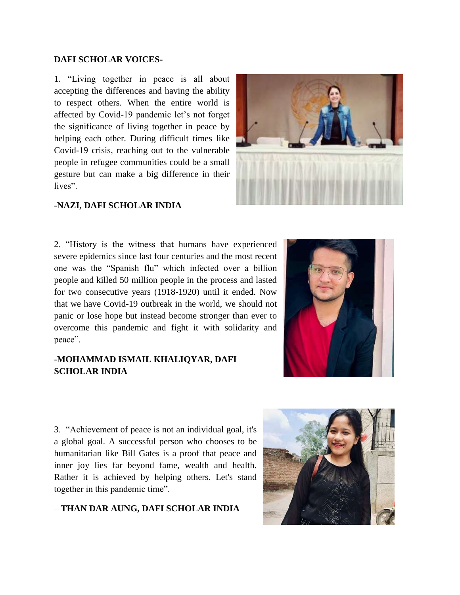### **DAFI SCHOLAR VOICES-**

1. "Living together in peace is all about accepting the differences and having the ability to respect others. When the entire world is affected by Covid-19 pandemic let's not forget the significance of living together in peace by helping each other. During difficult times like Covid-19 crisis, reaching out to the vulnerable people in refugee communities could be a small gesture but can make a big difference in their lives".



### -**NAZI, DAFI SCHOLAR INDIA**

2. "History is the witness that humans have experienced severe epidemics since last four centuries and the most recent one was the "Spanish flu" which infected over a billion people and killed 50 million people in the process and lasted for two consecutive years (1918-1920) until it ended. Now that we have Covid-19 outbreak in the world, we should not panic or lose hope but instead become stronger than ever to overcome this pandemic and fight it with solidarity and peace".

### -**MOHAMMAD ISMAIL KHALIQYAR, DAFI SCHOLAR INDIA**



3. "Achievement of peace is not an individual goal, it's a global goal. A successful person who chooses to be humanitarian like Bill Gates is a proof that peace and inner joy lies far beyond fame, wealth and health. Rather it is achieved by helping others. Let's stand together in this pandemic time".

### – **THAN DAR AUNG, DAFI SCHOLAR INDIA**

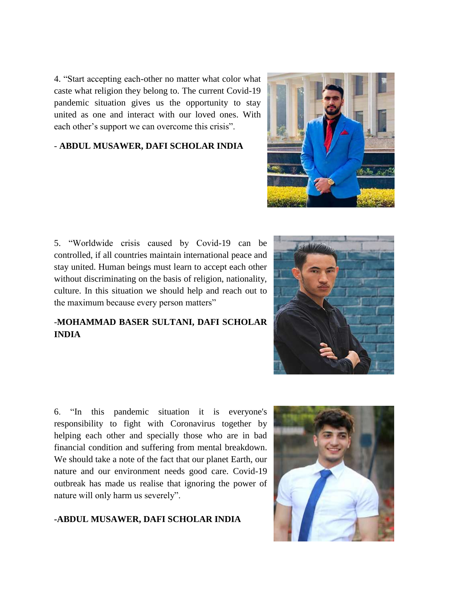4. "Start accepting each-other no matter what color what caste what religion they belong to. The current Covid-19 pandemic situation gives us the opportunity to stay united as one and interact with our loved ones. With each other's support we can overcome this crisis".

### - **ABDUL MUSAWER, DAFI SCHOLAR INDIA**

5. "Worldwide crisis caused by Covid-19 can be controlled, if all countries maintain international peace and stay united. Human beings must learn to accept each other without discriminating on the basis of religion, nationality, culture. In this situation we should help and reach out to the maximum because every person matters"

### -**MOHAMMAD BASER SULTANI, DAFI SCHOLAR INDIA**

6. "In this pandemic situation it is everyone's responsibility to fight with Coronavirus together by helping each other and specially those who are in bad financial condition and suffering from mental breakdown. We should take a note of the fact that our planet Earth, our nature and our environment needs good care. Covid-19 outbreak has made us realise that ignoring the power of nature will only harm us severely".

### **-ABDUL MUSAWER, DAFI SCHOLAR INDIA**





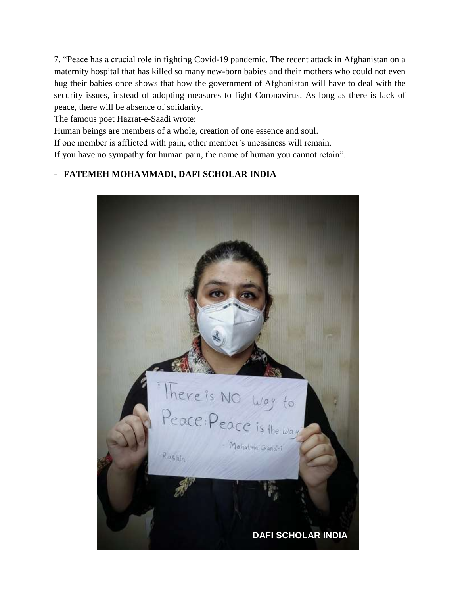7. "Peace has a crucial role in fighting Covid-19 pandemic. The recent attack in Afghanistan on a maternity hospital that has killed so many new-born babies and their mothers who could not even hug their babies once shows that how the government of Afghanistan will have to deal with the security issues, instead of adopting measures to fight Coronavirus. As long as there is lack of peace, there will be absence of solidarity.

The famous poet Hazrat-e-Saadi wrote:

Human beings are members of a whole, creation of one essence and soul.

If one member is afflicted with pain, other member's uneasiness will remain.

If you have no sympathy for human pain, the name of human you cannot retain".

### - **FATEMEH MOHAMMADI, DAFI SCHOLAR INDIA**